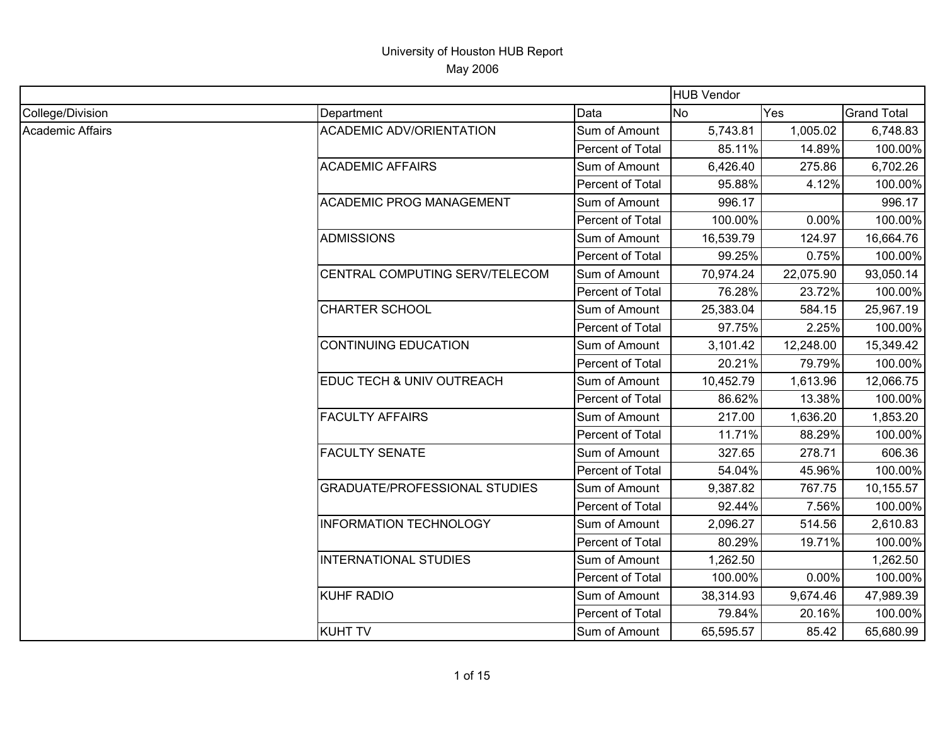|                  |                                      | <b>HUB Vendor</b> |           |           |                    |
|------------------|--------------------------------------|-------------------|-----------|-----------|--------------------|
| College/Division | Department                           | Data              | <b>No</b> | Yes       | <b>Grand Total</b> |
| Academic Affairs | <b>ACADEMIC ADV/ORIENTATION</b>      | Sum of Amount     | 5,743.81  | 1,005.02  | 6,748.83           |
|                  |                                      | Percent of Total  | 85.11%    | 14.89%    | 100.00%            |
|                  | <b>ACADEMIC AFFAIRS</b>              | Sum of Amount     | 6,426.40  | 275.86    | 6,702.26           |
|                  |                                      | Percent of Total  | 95.88%    | 4.12%     | 100.00%            |
|                  | <b>ACADEMIC PROG MANAGEMENT</b>      | Sum of Amount     | 996.17    |           | 996.17             |
|                  |                                      | Percent of Total  | 100.00%   | 0.00%     | 100.00%            |
|                  | <b>ADMISSIONS</b>                    | Sum of Amount     | 16,539.79 | 124.97    | 16,664.76          |
|                  |                                      | Percent of Total  | 99.25%    | 0.75%     | 100.00%            |
|                  | CENTRAL COMPUTING SERV/TELECOM       | Sum of Amount     | 70,974.24 | 22,075.90 | 93,050.14          |
|                  |                                      | Percent of Total  | 76.28%    | 23.72%    | 100.00%            |
|                  | <b>CHARTER SCHOOL</b>                | Sum of Amount     | 25,383.04 | 584.15    | 25,967.19          |
|                  |                                      | Percent of Total  | 97.75%    | 2.25%     | 100.00%            |
|                  | <b>CONTINUING EDUCATION</b>          | Sum of Amount     | 3,101.42  | 12,248.00 | 15,349.42          |
|                  |                                      | Percent of Total  | 20.21%    | 79.79%    | 100.00%            |
|                  | EDUC TECH & UNIV OUTREACH            | Sum of Amount     | 10,452.79 | 1,613.96  | 12,066.75          |
|                  |                                      | Percent of Total  | 86.62%    | 13.38%    | 100.00%            |
|                  | <b>FACULTY AFFAIRS</b>               | Sum of Amount     | 217.00    | 1,636.20  | 1,853.20           |
|                  |                                      | Percent of Total  | 11.71%    | 88.29%    | 100.00%            |
|                  | <b>FACULTY SENATE</b>                | Sum of Amount     | 327.65    | 278.71    | 606.36             |
|                  |                                      | Percent of Total  | 54.04%    | 45.96%    | 100.00%            |
|                  | <b>GRADUATE/PROFESSIONAL STUDIES</b> | Sum of Amount     | 9,387.82  | 767.75    | 10,155.57          |
|                  |                                      | Percent of Total  | 92.44%    | 7.56%     | 100.00%            |
|                  | <b>INFORMATION TECHNOLOGY</b>        | Sum of Amount     | 2,096.27  | 514.56    | 2,610.83           |
|                  |                                      | Percent of Total  | 80.29%    | 19.71%    | 100.00%            |
|                  | <b>INTERNATIONAL STUDIES</b>         | Sum of Amount     | 1,262.50  |           | 1,262.50           |
|                  |                                      | Percent of Total  | 100.00%   | 0.00%     | 100.00%            |
|                  | <b>KUHF RADIO</b>                    | Sum of Amount     | 38,314.93 | 9,674.46  | 47,989.39          |
|                  |                                      | Percent of Total  | 79.84%    | 20.16%    | 100.00%            |
|                  | <b>KUHT TV</b>                       | Sum of Amount     | 65,595.57 | 85.42     | 65,680.99          |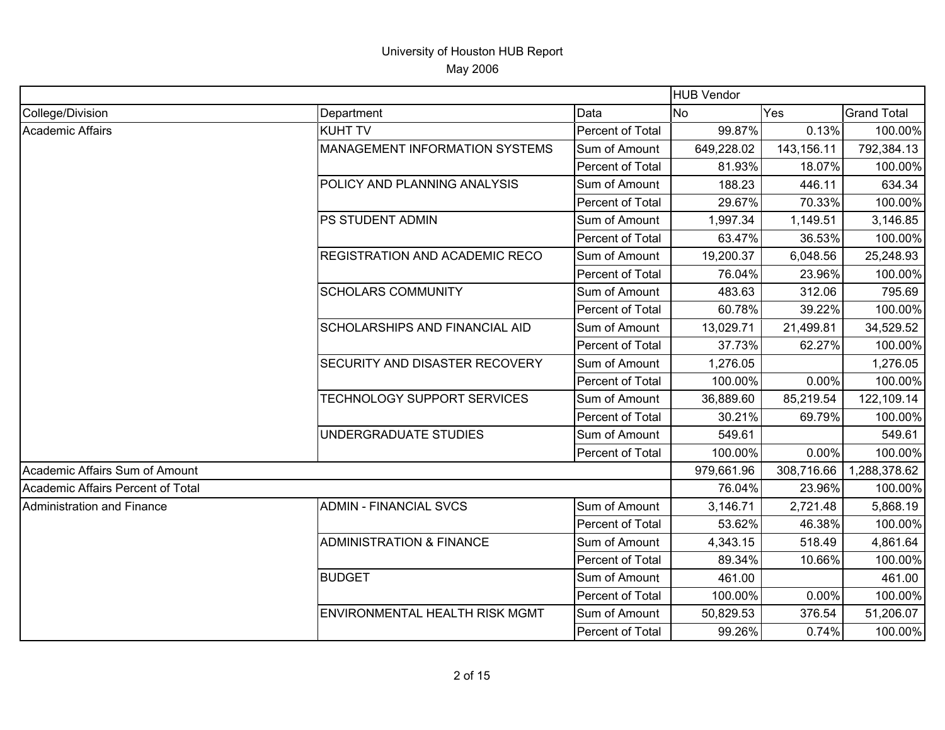|                                   |                                       |                  | <b>HUB Vendor</b> |            |                    |
|-----------------------------------|---------------------------------------|------------------|-------------------|------------|--------------------|
| College/Division                  | Department                            | Data             | <b>No</b>         | Yes        | <b>Grand Total</b> |
| Academic Affairs                  | <b>KUHT TV</b>                        | Percent of Total | 99.87%            | 0.13%      | 100.00%            |
|                                   | <b>MANAGEMENT INFORMATION SYSTEMS</b> | Sum of Amount    | 649,228.02        | 143,156.11 | 792,384.13         |
|                                   |                                       | Percent of Total | 81.93%            | 18.07%     | 100.00%            |
|                                   | POLICY AND PLANNING ANALYSIS          | Sum of Amount    | 188.23            | 446.11     | 634.34             |
|                                   |                                       | Percent of Total | 29.67%            | 70.33%     | 100.00%            |
|                                   | PS STUDENT ADMIN                      | Sum of Amount    | 1,997.34          | 1,149.51   | 3,146.85           |
|                                   |                                       | Percent of Total | 63.47%            | 36.53%     | 100.00%            |
|                                   | <b>REGISTRATION AND ACADEMIC RECO</b> | Sum of Amount    | 19,200.37         | 6,048.56   | 25,248.93          |
|                                   |                                       | Percent of Total | 76.04%            | 23.96%     | 100.00%            |
|                                   | <b>SCHOLARS COMMUNITY</b>             | Sum of Amount    | 483.63            | 312.06     | 795.69             |
|                                   |                                       | Percent of Total | 60.78%            | 39.22%     | 100.00%            |
|                                   | <b>SCHOLARSHIPS AND FINANCIAL AID</b> | Sum of Amount    | 13,029.71         | 21,499.81  | 34,529.52          |
|                                   |                                       | Percent of Total | 37.73%            | 62.27%     | 100.00%            |
|                                   | SECURITY AND DISASTER RECOVERY        | Sum of Amount    | 1,276.05          |            | 1,276.05           |
|                                   |                                       | Percent of Total | 100.00%           | 0.00%      | 100.00%            |
|                                   | TECHNOLOGY SUPPORT SERVICES           | Sum of Amount    | 36,889.60         | 85,219.54  | 122,109.14         |
|                                   |                                       | Percent of Total | 30.21%            | 69.79%     | 100.00%            |
|                                   | UNDERGRADUATE STUDIES                 | Sum of Amount    | 549.61            |            | 549.61             |
|                                   |                                       | Percent of Total | 100.00%           | 0.00%      | 100.00%            |
| Academic Affairs Sum of Amount    |                                       |                  | 979,661.96        | 308,716.66 | 1,288,378.62       |
| Academic Affairs Percent of Total |                                       |                  | 76.04%            | 23.96%     | 100.00%            |
| Administration and Finance        | <b>ADMIN - FINANCIAL SVCS</b>         | Sum of Amount    | 3,146.71          | 2,721.48   | 5,868.19           |
|                                   |                                       | Percent of Total | 53.62%            | 46.38%     | 100.00%            |
|                                   | <b>ADMINISTRATION &amp; FINANCE</b>   | Sum of Amount    | 4,343.15          | 518.49     | 4,861.64           |
|                                   |                                       | Percent of Total | 89.34%            | 10.66%     | 100.00%            |
|                                   | <b>BUDGET</b>                         | Sum of Amount    | 461.00            |            | 461.00             |
|                                   |                                       | Percent of Total | 100.00%           | 0.00%      | 100.00%            |
|                                   | <b>ENVIRONMENTAL HEALTH RISK MGMT</b> | Sum of Amount    | 50,829.53         | 376.54     | 51,206.07          |
|                                   |                                       | Percent of Total | 99.26%            | 0.74%      | 100.00%            |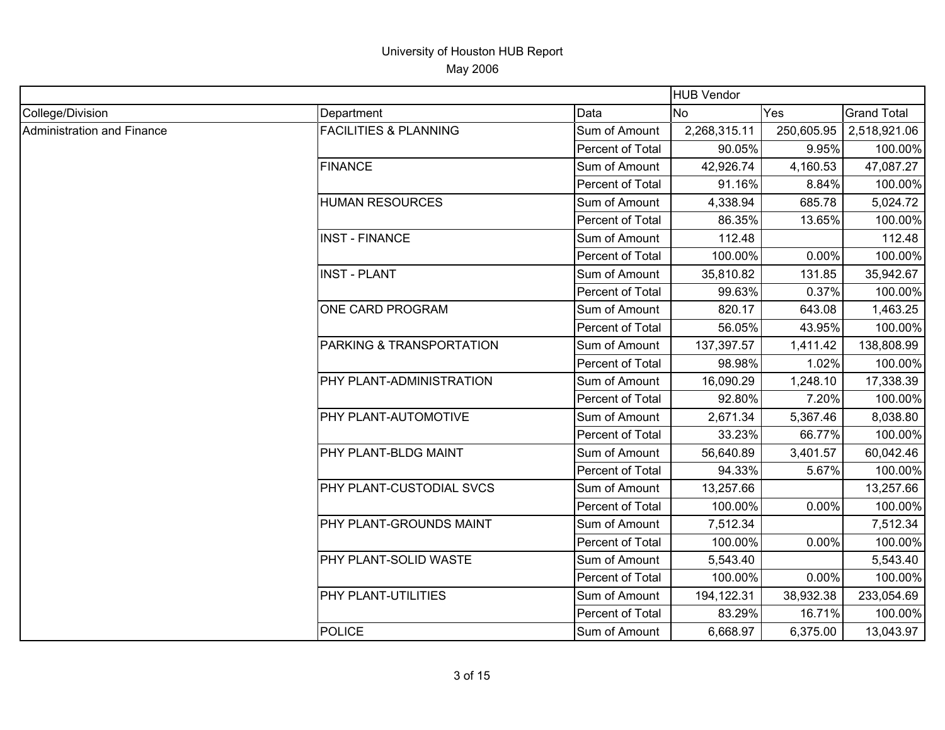|                            |                                  |                  | <b>HUB Vendor</b> |            |                    |
|----------------------------|----------------------------------|------------------|-------------------|------------|--------------------|
| College/Division           | Department                       | Data             | <b>INo</b>        | Yes        | <b>Grand Total</b> |
| Administration and Finance | <b>FACILITIES &amp; PLANNING</b> | Sum of Amount    | 2,268,315.11      | 250,605.95 | 2,518,921.06       |
|                            |                                  | Percent of Total | 90.05%            | 9.95%      | 100.00%            |
|                            | <b>FINANCE</b>                   | Sum of Amount    | 42,926.74         | 4,160.53   | 47,087.27          |
|                            |                                  | Percent of Total | 91.16%            | 8.84%      | 100.00%            |
|                            | <b>HUMAN RESOURCES</b>           | Sum of Amount    | 4,338.94          | 685.78     | 5,024.72           |
|                            |                                  | Percent of Total | 86.35%            | 13.65%     | 100.00%            |
|                            | <b>INST - FINANCE</b>            | Sum of Amount    | 112.48            |            | 112.48             |
|                            |                                  | Percent of Total | 100.00%           | 0.00%      | 100.00%            |
|                            | <b>INST - PLANT</b>              | Sum of Amount    | 35,810.82         | 131.85     | 35,942.67          |
|                            |                                  | Percent of Total | 99.63%            | 0.37%      | 100.00%            |
|                            | <b>ONE CARD PROGRAM</b>          | Sum of Amount    | 820.17            | 643.08     | 1,463.25           |
|                            |                                  | Percent of Total | 56.05%            | 43.95%     | 100.00%            |
|                            | PARKING & TRANSPORTATION         | Sum of Amount    | 137,397.57        | 1,411.42   | 138,808.99         |
|                            |                                  | Percent of Total | 98.98%            | 1.02%      | 100.00%            |
|                            | PHY PLANT-ADMINISTRATION         | Sum of Amount    | 16,090.29         | 1,248.10   | 17,338.39          |
|                            |                                  | Percent of Total | 92.80%            | 7.20%      | 100.00%            |
|                            | <b>PHY PLANT-AUTOMOTIVE</b>      | Sum of Amount    | 2,671.34          | 5,367.46   | 8,038.80           |
|                            |                                  | Percent of Total | 33.23%            | 66.77%     | 100.00%            |
|                            | PHY PLANT-BLDG MAINT             | Sum of Amount    | 56,640.89         | 3,401.57   | 60,042.46          |
|                            |                                  | Percent of Total | 94.33%            | 5.67%      | 100.00%            |
|                            | PHY PLANT-CUSTODIAL SVCS         | Sum of Amount    | 13,257.66         |            | 13,257.66          |
|                            |                                  | Percent of Total | 100.00%           | 0.00%      | 100.00%            |
|                            | PHY PLANT-GROUNDS MAINT          | Sum of Amount    | 7,512.34          |            | 7,512.34           |
|                            |                                  | Percent of Total | 100.00%           | 0.00%      | 100.00%            |
|                            | PHY PLANT-SOLID WASTE            | Sum of Amount    | 5,543.40          |            | 5,543.40           |
|                            |                                  | Percent of Total | 100.00%           | 0.00%      | 100.00%            |
|                            | <b>PHY PLANT-UTILITIES</b>       | Sum of Amount    | 194,122.31        | 38,932.38  | 233,054.69         |
|                            |                                  | Percent of Total | 83.29%            | 16.71%     | 100.00%            |
|                            | POLICE                           | Sum of Amount    | 6,668.97          | 6,375.00   | 13,043.97          |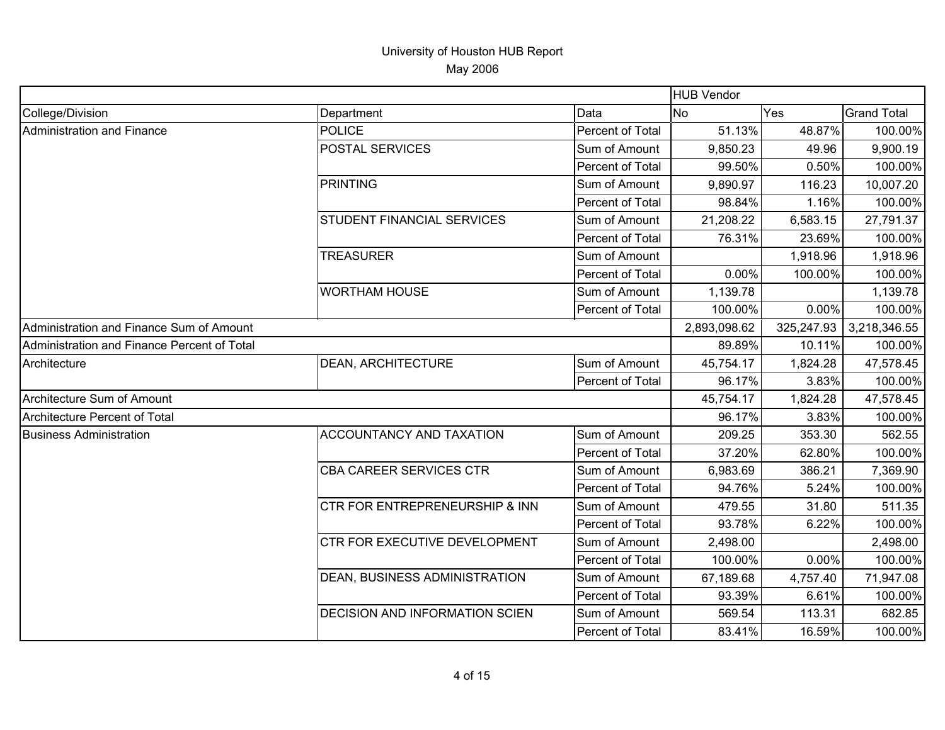| <b>HUB Vendor</b>                           |                                      |                  |              |            |                    |
|---------------------------------------------|--------------------------------------|------------------|--------------|------------|--------------------|
| College/Division                            | Department                           | Data             | <b>No</b>    | Yes        | <b>Grand Total</b> |
| Administration and Finance                  | <b>POLICE</b>                        | Percent of Total | 51.13%       | 48.87%     | 100.00%            |
|                                             | POSTAL SERVICES                      | Sum of Amount    | 9,850.23     | 49.96      | 9,900.19           |
|                                             |                                      | Percent of Total | 99.50%       | 0.50%      | 100.00%            |
|                                             | <b>PRINTING</b>                      | Sum of Amount    | 9,890.97     | 116.23     | 10,007.20          |
|                                             |                                      | Percent of Total | 98.84%       | 1.16%      | 100.00%            |
|                                             | STUDENT FINANCIAL SERVICES           | Sum of Amount    | 21,208.22    | 6,583.15   | 27,791.37          |
|                                             |                                      | Percent of Total | 76.31%       | 23.69%     | 100.00%            |
|                                             | <b>TREASURER</b>                     | Sum of Amount    |              | 1,918.96   | 1,918.96           |
|                                             |                                      | Percent of Total | 0.00%        | 100.00%    | 100.00%            |
|                                             | <b>WORTHAM HOUSE</b>                 | Sum of Amount    | 1,139.78     |            | 1,139.78           |
|                                             |                                      | Percent of Total | 100.00%      | 0.00%      | 100.00%            |
| Administration and Finance Sum of Amount    |                                      |                  | 2,893,098.62 | 325,247.93 | 3,218,346.55       |
| Administration and Finance Percent of Total |                                      |                  | 89.89%       | 10.11%     | 100.00%            |
| Architecture                                | <b>DEAN, ARCHITECTURE</b>            | Sum of Amount    | 45,754.17    | 1,824.28   | 47,578.45          |
|                                             |                                      | Percent of Total | 96.17%       | 3.83%      | 100.00%            |
| Architecture Sum of Amount                  |                                      |                  | 45,754.17    | 1,824.28   | 47,578.45          |
| Architecture Percent of Total               |                                      |                  | 96.17%       | 3.83%      | 100.00%            |
| <b>Business Administration</b>              | <b>ACCOUNTANCY AND TAXATION</b>      | Sum of Amount    | 209.25       | 353.30     | 562.55             |
|                                             |                                      | Percent of Total | 37.20%       | 62.80%     | 100.00%            |
|                                             | <b>CBA CAREER SERVICES CTR</b>       | Sum of Amount    | 6,983.69     | 386.21     | 7,369.90           |
|                                             |                                      | Percent of Total | 94.76%       | 5.24%      | 100.00%            |
|                                             | CTR FOR ENTREPRENEURSHIP & INN       | Sum of Amount    | 479.55       | 31.80      | 511.35             |
|                                             |                                      | Percent of Total | 93.78%       | 6.22%      | 100.00%            |
|                                             | CTR FOR EXECUTIVE DEVELOPMENT        | Sum of Amount    | 2,498.00     |            | 2,498.00           |
|                                             |                                      | Percent of Total | 100.00%      | 0.00%      | 100.00%            |
|                                             | <b>DEAN, BUSINESS ADMINISTRATION</b> | Sum of Amount    | 67,189.68    | 4,757.40   | 71,947.08          |
|                                             |                                      | Percent of Total | 93.39%       | 6.61%      | 100.00%            |
|                                             | DECISION AND INFORMATION SCIEN       | Sum of Amount    | 569.54       | 113.31     | 682.85             |
|                                             |                                      | Percent of Total | 83.41%       | 16.59%     | 100.00%            |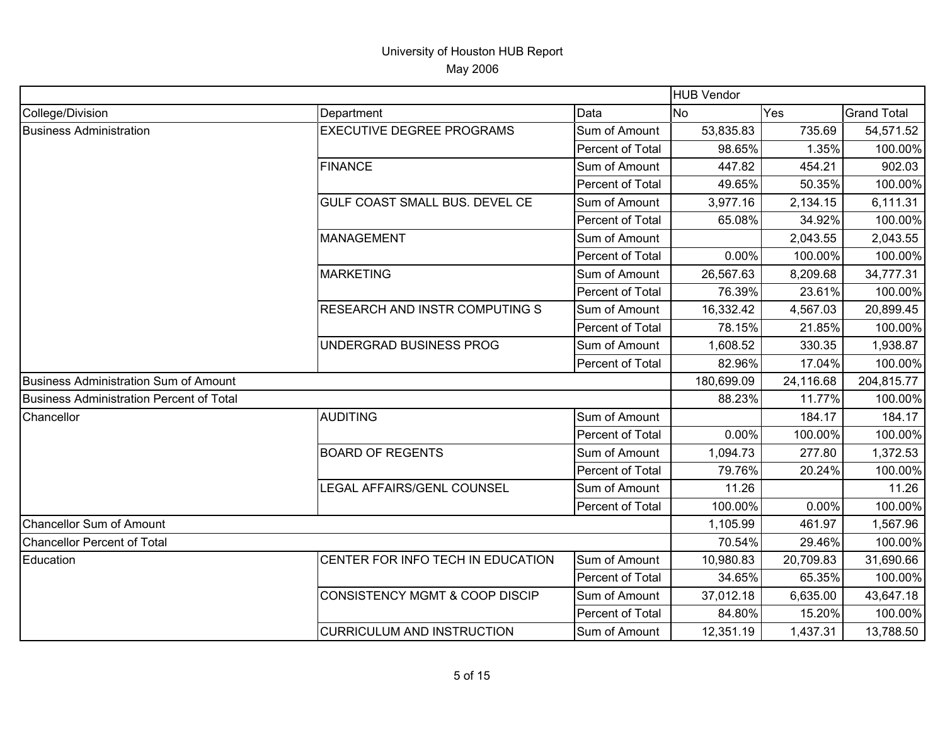|                                                 |                                   |                         | <b>HUB Vendor</b> |           |                    |
|-------------------------------------------------|-----------------------------------|-------------------------|-------------------|-----------|--------------------|
| College/Division                                | Department                        | Data                    | <b>INo</b>        | Yes       | <b>Grand Total</b> |
| <b>Business Administration</b>                  | <b>EXECUTIVE DEGREE PROGRAMS</b>  | Sum of Amount           | 53,835.83         | 735.69    | 54,571.52          |
|                                                 |                                   | Percent of Total        | 98.65%            | 1.35%     | 100.00%            |
|                                                 | <b>FINANCE</b>                    | Sum of Amount           | 447.82            | 454.21    | 902.03             |
|                                                 |                                   | Percent of Total        | 49.65%            | 50.35%    | 100.00%            |
|                                                 | GULF COAST SMALL BUS. DEVEL CE    | Sum of Amount           | 3,977.16          | 2,134.15  | 6,111.31           |
|                                                 |                                   | Percent of Total        | 65.08%            | 34.92%    | 100.00%            |
|                                                 | <b>MANAGEMENT</b>                 | Sum of Amount           |                   | 2,043.55  | 2,043.55           |
|                                                 |                                   | Percent of Total        | 0.00%             | 100.00%   | 100.00%            |
|                                                 | <b>MARKETING</b>                  | Sum of Amount           | 26,567.63         | 8,209.68  | 34,777.31          |
|                                                 |                                   | Percent of Total        | 76.39%            | 23.61%    | 100.00%            |
|                                                 | RESEARCH AND INSTR COMPUTING S    | Sum of Amount           | 16,332.42         | 4,567.03  | 20,899.45          |
|                                                 |                                   | Percent of Total        | 78.15%            | 21.85%    | 100.00%            |
|                                                 | UNDERGRAD BUSINESS PROG           | Sum of Amount           | 1,608.52          | 330.35    | 1,938.87           |
|                                                 |                                   | Percent of Total        | 82.96%            | 17.04%    | 100.00%            |
| Business Administration Sum of Amount           |                                   |                         | 180,699.09        | 24,116.68 | 204,815.77         |
| <b>Business Administration Percent of Total</b> |                                   |                         | 88.23%            | 11.77%    | 100.00%            |
| Chancellor                                      | <b>AUDITING</b>                   | Sum of Amount           |                   | 184.17    | 184.17             |
|                                                 |                                   | Percent of Total        | 0.00%             | 100.00%   | 100.00%            |
|                                                 | <b>BOARD OF REGENTS</b>           | Sum of Amount           | 1,094.73          | 277.80    | 1,372.53           |
|                                                 |                                   | Percent of Total        | 79.76%            | 20.24%    | 100.00%            |
|                                                 | LEGAL AFFAIRS/GENL COUNSEL        | Sum of Amount           | 11.26             |           | 11.26              |
|                                                 |                                   | <b>Percent of Total</b> | 100.00%           | 0.00%     | 100.00%            |
| <b>Chancellor Sum of Amount</b>                 |                                   |                         | 1,105.99          | 461.97    | 1,567.96           |
| <b>Chancellor Percent of Total</b>              |                                   |                         | 70.54%            | 29.46%    | 100.00%            |
| Education                                       | CENTER FOR INFO TECH IN EDUCATION | Sum of Amount           | 10,980.83         | 20,709.83 | 31,690.66          |
|                                                 |                                   | Percent of Total        | 34.65%            | 65.35%    | 100.00%            |
|                                                 | CONSISTENCY MGMT & COOP DISCIP    | Sum of Amount           | 37,012.18         | 6,635.00  | 43,647.18          |
|                                                 |                                   | Percent of Total        | 84.80%            | 15.20%    | 100.00%            |
|                                                 | <b>CURRICULUM AND INSTRUCTION</b> | Sum of Amount           | 12,351.19         | 1,437.31  | 13,788.50          |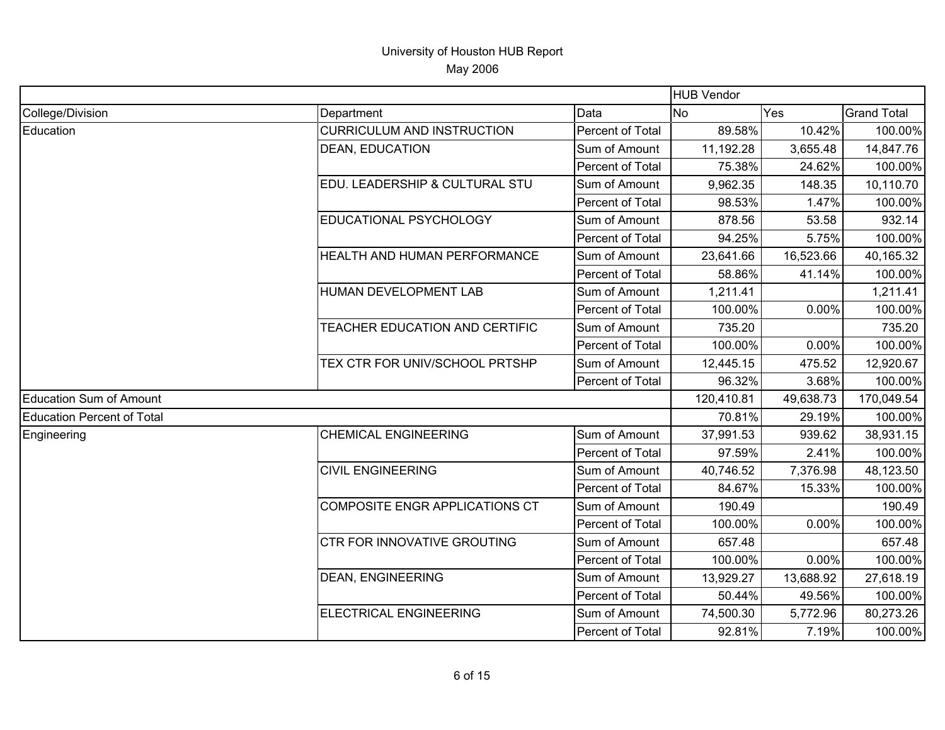|                                |                                    |                  | <b>HUB Vendor</b> |           |                    |
|--------------------------------|------------------------------------|------------------|-------------------|-----------|--------------------|
| College/Division               | Department                         | Data             | <b>No</b>         | Yes       | <b>Grand Total</b> |
| Education                      | <b>CURRICULUM AND INSTRUCTION</b>  | Percent of Total | 89.58%            | 10.42%    | 100.00%            |
|                                | <b>DEAN, EDUCATION</b>             | Sum of Amount    | 11,192.28         | 3,655.48  | 14,847.76          |
|                                |                                    | Percent of Total | 75.38%            | 24.62%    | 100.00%            |
|                                | EDU. LEADERSHIP & CULTURAL STU     | Sum of Amount    | 9,962.35          | 148.35    | 10,110.70          |
|                                |                                    | Percent of Total | 98.53%            | 1.47%     | 100.00%            |
|                                | <b>EDUCATIONAL PSYCHOLOGY</b>      | Sum of Amount    | 878.56            | 53.58     | 932.14             |
|                                |                                    | Percent of Total | 94.25%            | 5.75%     | 100.00%            |
|                                | HEALTH AND HUMAN PERFORMANCE       | Sum of Amount    | 23,641.66         | 16,523.66 | 40,165.32          |
|                                |                                    | Percent of Total | 58.86%            | 41.14%    | 100.00%            |
|                                | HUMAN DEVELOPMENT LAB              | Sum of Amount    | 1,211.41          |           | 1,211.41           |
|                                |                                    | Percent of Total | 100.00%           | 0.00%     | 100.00%            |
|                                | TEACHER EDUCATION AND CERTIFIC     | Sum of Amount    | 735.20            |           | 735.20             |
|                                |                                    | Percent of Total | 100.00%           | 0.00%     | 100.00%            |
|                                | TEX CTR FOR UNIV/SCHOOL PRTSHP     | Sum of Amount    | 12,445.15         | 475.52    | 12,920.67          |
|                                |                                    | Percent of Total | 96.32%            | 3.68%     | 100.00%            |
| <b>Education Sum of Amount</b> |                                    |                  | 120,410.81        | 49,638.73 | 170,049.54         |
| Education Percent of Total     |                                    |                  | 70.81%            | 29.19%    | 100.00%            |
| Engineering                    | <b>CHEMICAL ENGINEERING</b>        | Sum of Amount    | 37,991.53         | 939.62    | 38,931.15          |
|                                |                                    | Percent of Total | 97.59%            | 2.41%     | 100.00%            |
|                                | <b>CIVIL ENGINEERING</b>           | Sum of Amount    | 40,746.52         | 7,376.98  | 48,123.50          |
|                                |                                    | Percent of Total | 84.67%            | 15.33%    | 100.00%            |
|                                | COMPOSITE ENGR APPLICATIONS CT     | Sum of Amount    | 190.49            |           | 190.49             |
|                                |                                    | Percent of Total | 100.00%           | 0.00%     | 100.00%            |
|                                | <b>CTR FOR INNOVATIVE GROUTING</b> | Sum of Amount    | 657.48            |           | 657.48             |
|                                |                                    | Percent of Total | 100.00%           | 0.00%     | 100.00%            |
|                                | <b>DEAN, ENGINEERING</b>           | Sum of Amount    | 13,929.27         | 13,688.92 | 27,618.19          |
|                                |                                    | Percent of Total | 50.44%            | 49.56%    | 100.00%            |
|                                | ELECTRICAL ENGINEERING             | Sum of Amount    | 74,500.30         | 5,772.96  | 80,273.26          |
|                                |                                    | Percent of Total | 92.81%            | 7.19%     | 100.00%            |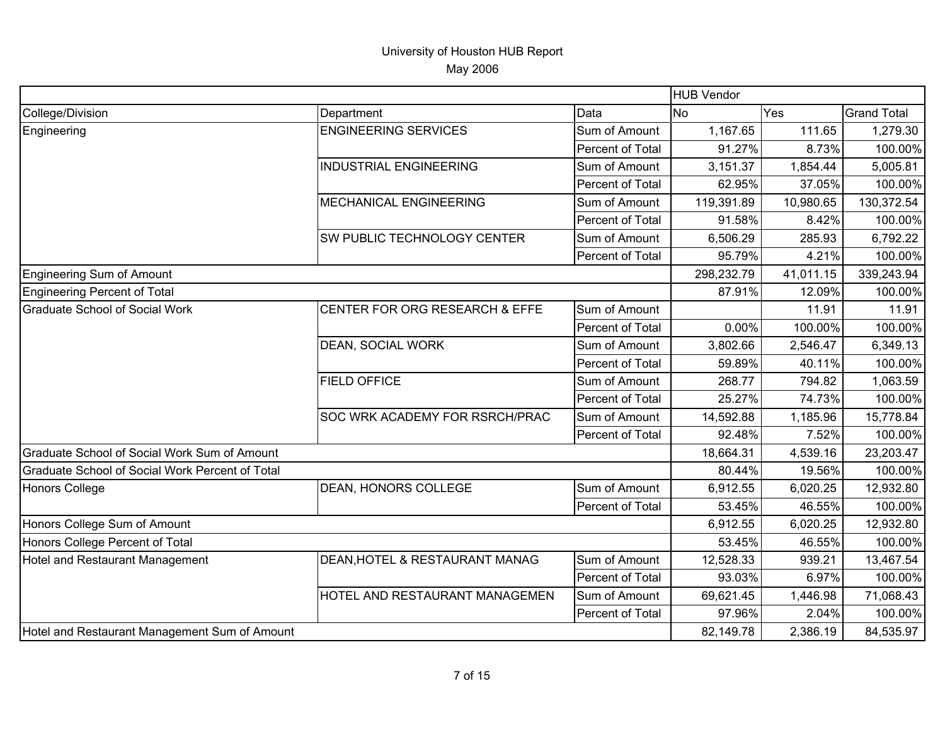|                                                 |                                |                  | <b>HUB Vendor</b> |           |                    |
|-------------------------------------------------|--------------------------------|------------------|-------------------|-----------|--------------------|
| College/Division                                | Department                     | Data             | <b>No</b>         | Yes       | <b>Grand Total</b> |
| Engineering                                     | <b>ENGINEERING SERVICES</b>    | Sum of Amount    | 1,167.65          | 111.65    | 1,279.30           |
|                                                 |                                | Percent of Total | 91.27%            | 8.73%     | 100.00%            |
|                                                 | <b>INDUSTRIAL ENGINEERING</b>  | Sum of Amount    | 3,151.37          | 1,854.44  | 5,005.81           |
|                                                 |                                | Percent of Total | 62.95%            | 37.05%    | 100.00%            |
|                                                 | <b>MECHANICAL ENGINEERING</b>  | Sum of Amount    | 119,391.89        | 10,980.65 | 130,372.54         |
|                                                 |                                | Percent of Total | 91.58%            | 8.42%     | 100.00%            |
|                                                 | SW PUBLIC TECHNOLOGY CENTER    | Sum of Amount    | 6,506.29          | 285.93    | 6,792.22           |
|                                                 |                                | Percent of Total | 95.79%            | 4.21%     | 100.00%            |
| Engineering Sum of Amount                       |                                |                  | 298,232.79        | 41,011.15 | 339,243.94         |
| Engineering Percent of Total                    |                                |                  | 87.91%            | 12.09%    | 100.00%            |
| <b>Graduate School of Social Work</b>           | CENTER FOR ORG RESEARCH & EFFE | Sum of Amount    |                   | 11.91     | 11.91              |
|                                                 |                                | Percent of Total | 0.00%             | 100.00%   | 100.00%            |
|                                                 | DEAN, SOCIAL WORK              | Sum of Amount    | 3,802.66          | 2,546.47  | 6,349.13           |
|                                                 |                                | Percent of Total | 59.89%            | 40.11%    | 100.00%            |
|                                                 | <b>FIELD OFFICE</b>            | Sum of Amount    | 268.77            | 794.82    | 1,063.59           |
|                                                 |                                | Percent of Total | 25.27%            | 74.73%    | 100.00%            |
|                                                 | SOC WRK ACADEMY FOR RSRCH/PRAC | Sum of Amount    | 14,592.88         | 1,185.96  | 15,778.84          |
|                                                 |                                | Percent of Total | 92.48%            | 7.52%     | 100.00%            |
| Graduate School of Social Work Sum of Amount    |                                |                  | 18,664.31         | 4,539.16  | 23,203.47          |
| Graduate School of Social Work Percent of Total |                                |                  | 80.44%            | 19.56%    | 100.00%            |
| Honors College                                  | DEAN, HONORS COLLEGE           | Sum of Amount    | 6,912.55          | 6,020.25  | 12,932.80          |
|                                                 |                                | Percent of Total | 53.45%            | 46.55%    | 100.00%            |
| Honors College Sum of Amount                    |                                |                  | 6,912.55          | 6,020.25  | 12,932.80          |
| Honors College Percent of Total                 |                                |                  | 53.45%            | 46.55%    | 100.00%            |
| Hotel and Restaurant Management                 | DEAN, HOTEL & RESTAURANT MANAG | Sum of Amount    | 12,528.33         | 939.21    | 13,467.54          |
|                                                 |                                | Percent of Total | 93.03%            | 6.97%     | 100.00%            |
|                                                 | HOTEL AND RESTAURANT MANAGEMEN | Sum of Amount    | 69,621.45         | 1,446.98  | 71,068.43          |
|                                                 |                                | Percent of Total | 97.96%            | 2.04%     | 100.00%            |
| Hotel and Restaurant Management Sum of Amount   |                                |                  | 82,149.78         | 2,386.19  | 84,535.97          |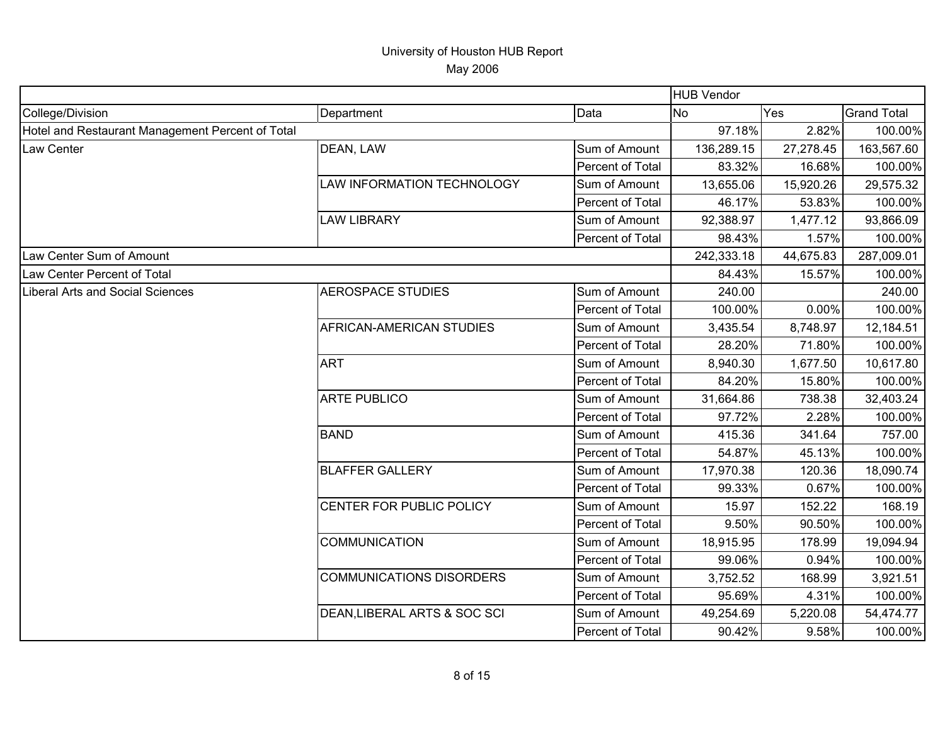|                                                  |                                 |                  | <b>HUB Vendor</b> |           |                    |
|--------------------------------------------------|---------------------------------|------------------|-------------------|-----------|--------------------|
| College/Division                                 | Department                      | Data             | <b>No</b>         | Yes       | <b>Grand Total</b> |
| Hotel and Restaurant Management Percent of Total |                                 |                  | 97.18%            | 2.82%     | 100.00%            |
| Law Center                                       | DEAN, LAW                       | Sum of Amount    | 136,289.15        | 27,278.45 | 163,567.60         |
|                                                  |                                 | Percent of Total | 83.32%            | 16.68%    | 100.00%            |
|                                                  | LAW INFORMATION TECHNOLOGY      | Sum of Amount    | 13,655.06         | 15,920.26 | 29,575.32          |
|                                                  |                                 | Percent of Total | 46.17%            | 53.83%    | 100.00%            |
|                                                  | <b>LAW LIBRARY</b>              | Sum of Amount    | 92,388.97         | 1,477.12  | 93,866.09          |
|                                                  |                                 | Percent of Total | 98.43%            | 1.57%     | 100.00%            |
| Law Center Sum of Amount                         |                                 |                  | 242,333.18        | 44,675.83 | 287,009.01         |
| Law Center Percent of Total                      |                                 |                  | 84.43%            | 15.57%    | 100.00%            |
| Liberal Arts and Social Sciences                 | <b>AEROSPACE STUDIES</b>        | Sum of Amount    | 240.00            |           | 240.00             |
|                                                  |                                 | Percent of Total | 100.00%           | 0.00%     | 100.00%            |
|                                                  | AFRICAN-AMERICAN STUDIES        | Sum of Amount    | 3,435.54          | 8,748.97  | 12,184.51          |
|                                                  |                                 | Percent of Total | 28.20%            | 71.80%    | 100.00%            |
|                                                  | <b>ART</b>                      | Sum of Amount    | 8,940.30          | 1,677.50  | 10,617.80          |
|                                                  |                                 | Percent of Total | 84.20%            | 15.80%    | 100.00%            |
|                                                  | <b>ARTE PUBLICO</b>             | Sum of Amount    | 31,664.86         | 738.38    | 32,403.24          |
|                                                  |                                 | Percent of Total | 97.72%            | 2.28%     | 100.00%            |
|                                                  | <b>BAND</b>                     | Sum of Amount    | 415.36            | 341.64    | 757.00             |
|                                                  |                                 | Percent of Total | 54.87%            | 45.13%    | 100.00%            |
|                                                  | <b>BLAFFER GALLERY</b>          | Sum of Amount    | 17,970.38         | 120.36    | 18,090.74          |
|                                                  |                                 | Percent of Total | 99.33%            | 0.67%     | 100.00%            |
|                                                  | CENTER FOR PUBLIC POLICY        | Sum of Amount    | 15.97             | 152.22    | 168.19             |
|                                                  |                                 | Percent of Total | 9.50%             | 90.50%    | 100.00%            |
|                                                  | <b>COMMUNICATION</b>            | Sum of Amount    | 18,915.95         | 178.99    | 19,094.94          |
|                                                  |                                 | Percent of Total | 99.06%            | 0.94%     | 100.00%            |
|                                                  | <b>COMMUNICATIONS DISORDERS</b> | Sum of Amount    | 3,752.52          | 168.99    | 3,921.51           |
|                                                  |                                 | Percent of Total | 95.69%            | 4.31%     | 100.00%            |
|                                                  | DEAN, LIBERAL ARTS & SOC SCI    | Sum of Amount    | 49,254.69         | 5,220.08  | 54,474.77          |
|                                                  |                                 | Percent of Total | 90.42%            | 9.58%     | 100.00%            |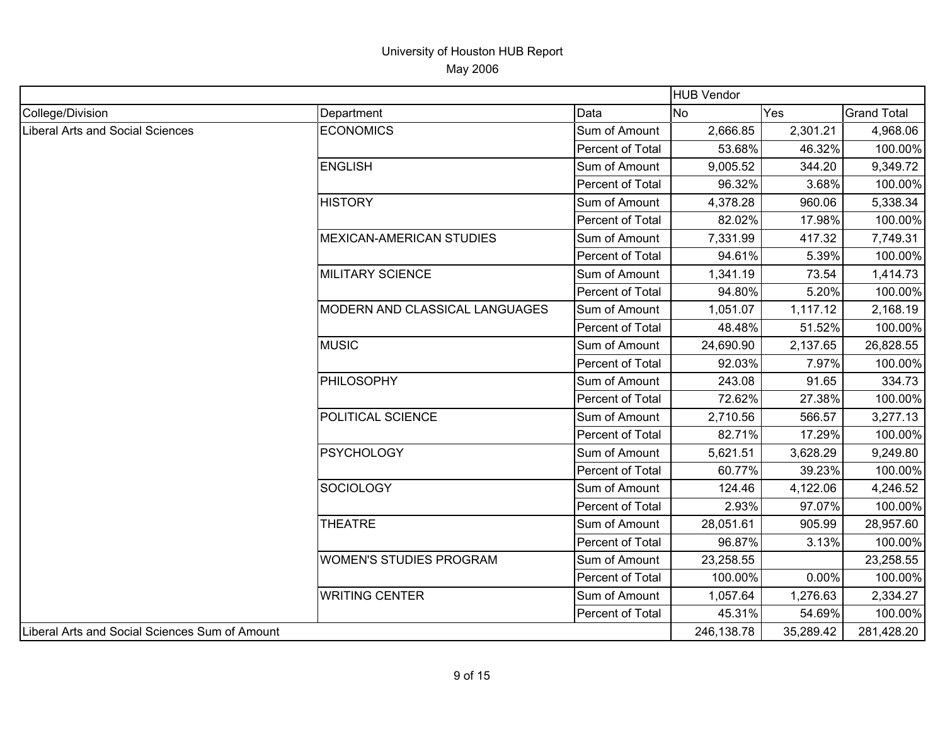|                                                |                                 |                  | <b>HUB Vendor</b> |           |                    |
|------------------------------------------------|---------------------------------|------------------|-------------------|-----------|--------------------|
| College/Division                               | Department                      | Data             | No                | Yes       | <b>Grand Total</b> |
| Liberal Arts and Social Sciences               | <b>ECONOMICS</b>                | Sum of Amount    | 2,666.85          | 2,301.21  | 4,968.06           |
|                                                |                                 | Percent of Total | 53.68%            | 46.32%    | 100.00%            |
|                                                | <b>ENGLISH</b>                  | Sum of Amount    | 9,005.52          | 344.20    | 9,349.72           |
|                                                |                                 | Percent of Total | 96.32%            | 3.68%     | 100.00%            |
|                                                | <b>HISTORY</b>                  | Sum of Amount    | 4,378.28          | 960.06    | 5,338.34           |
|                                                |                                 | Percent of Total | 82.02%            | 17.98%    | 100.00%            |
|                                                | <b>MEXICAN-AMERICAN STUDIES</b> | Sum of Amount    | 7,331.99          | 417.32    | 7,749.31           |
|                                                |                                 | Percent of Total | 94.61%            | 5.39%     | 100.00%            |
|                                                | <b>MILITARY SCIENCE</b>         | Sum of Amount    | 1,341.19          | 73.54     | 1,414.73           |
|                                                |                                 | Percent of Total | 94.80%            | 5.20%     | 100.00%            |
|                                                | MODERN AND CLASSICAL LANGUAGES  | Sum of Amount    | 1,051.07          | 1,117.12  | 2,168.19           |
|                                                |                                 | Percent of Total | 48.48%            | 51.52%    | 100.00%            |
|                                                | <b>MUSIC</b>                    | Sum of Amount    | 24,690.90         | 2,137.65  | 26,828.55          |
|                                                |                                 | Percent of Total | 92.03%            | 7.97%     | 100.00%            |
|                                                | PHILOSOPHY                      | Sum of Amount    | 243.08            | 91.65     | 334.73             |
|                                                |                                 | Percent of Total | 72.62%            | 27.38%    | 100.00%            |
|                                                | POLITICAL SCIENCE               | Sum of Amount    | 2,710.56          | 566.57    | 3,277.13           |
|                                                |                                 | Percent of Total | 82.71%            | 17.29%    | 100.00%            |
|                                                | <b>PSYCHOLOGY</b>               | Sum of Amount    | 5,621.51          | 3,628.29  | 9,249.80           |
|                                                |                                 | Percent of Total | 60.77%            | 39.23%    | 100.00%            |
|                                                | <b>SOCIOLOGY</b>                | Sum of Amount    | 124.46            | 4,122.06  | 4,246.52           |
|                                                |                                 | Percent of Total | 2.93%             | 97.07%    | 100.00%            |
|                                                | <b>THEATRE</b>                  | Sum of Amount    | 28,051.61         | 905.99    | 28,957.60          |
|                                                |                                 | Percent of Total | 96.87%            | 3.13%     | 100.00%            |
|                                                | <b>WOMEN'S STUDIES PROGRAM</b>  | Sum of Amount    | 23,258.55         |           | 23,258.55          |
|                                                |                                 | Percent of Total | 100.00%           | 0.00%     | 100.00%            |
|                                                | <b>WRITING CENTER</b>           | Sum of Amount    | 1,057.64          | 1,276.63  | 2,334.27           |
|                                                |                                 | Percent of Total | 45.31%            | 54.69%    | 100.00%            |
| Liberal Arts and Social Sciences Sum of Amount |                                 |                  | 246,138.78        | 35,289.42 | 281,428.20         |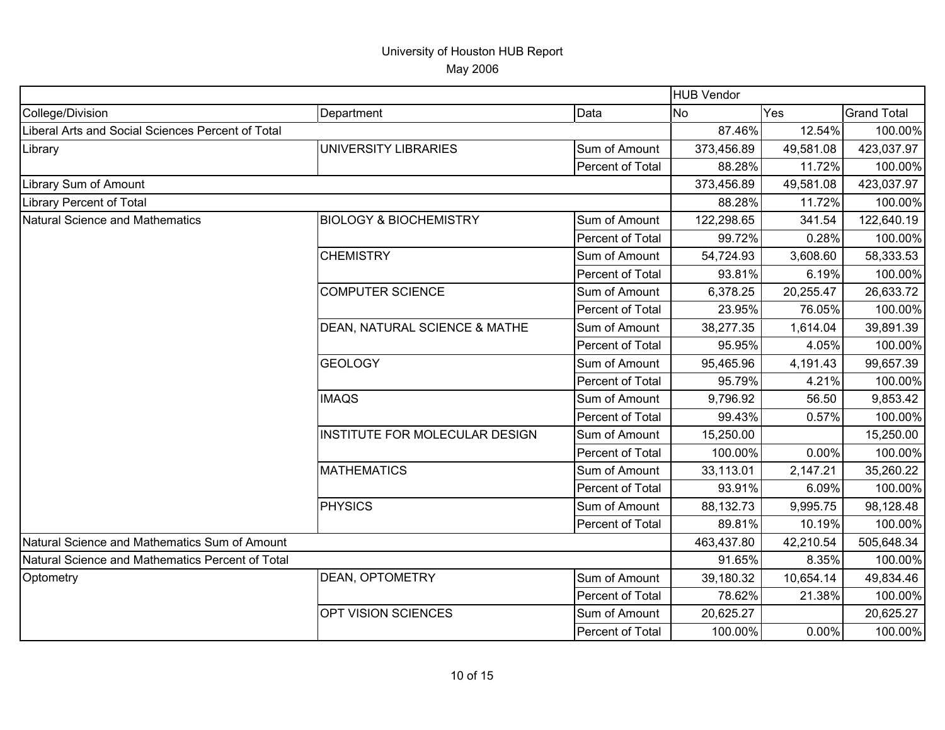|                                                   |                                   |                  | <b>HUB Vendor</b> |            |                    |
|---------------------------------------------------|-----------------------------------|------------------|-------------------|------------|--------------------|
| College/Division                                  | Department                        | Data             | N <sub>o</sub>    | <b>Yes</b> | <b>Grand Total</b> |
| Liberal Arts and Social Sciences Percent of Total |                                   |                  | 87.46%            | 12.54%     | 100.00%            |
| Library                                           | UNIVERSITY LIBRARIES              | Sum of Amount    | 373,456.89        | 49,581.08  | 423,037.97         |
|                                                   |                                   | Percent of Total | 88.28%            | 11.72%     | 100.00%            |
| Library Sum of Amount                             |                                   |                  | 373,456.89        | 49,581.08  | 423,037.97         |
| Library Percent of Total                          |                                   |                  | 88.28%            | 11.72%     | 100.00%            |
| Natural Science and Mathematics                   | <b>BIOLOGY &amp; BIOCHEMISTRY</b> | Sum of Amount    | 122,298.65        | 341.54     | 122,640.19         |
|                                                   |                                   | Percent of Total | 99.72%            | 0.28%      | 100.00%            |
|                                                   | <b>CHEMISTRY</b>                  | Sum of Amount    | 54,724.93         | 3,608.60   | 58,333.53          |
|                                                   |                                   | Percent of Total | 93.81%            | 6.19%      | 100.00%            |
|                                                   | <b>COMPUTER SCIENCE</b>           | Sum of Amount    | 6,378.25          | 20,255.47  | 26,633.72          |
|                                                   |                                   | Percent of Total | 23.95%            | 76.05%     | 100.00%            |
|                                                   | DEAN, NATURAL SCIENCE & MATHE     | Sum of Amount    | 38,277.35         | 1,614.04   | 39,891.39          |
|                                                   |                                   | Percent of Total | 95.95%            | 4.05%      | 100.00%            |
|                                                   | <b>GEOLOGY</b>                    | Sum of Amount    | 95,465.96         | 4,191.43   | 99,657.39          |
|                                                   |                                   | Percent of Total | 95.79%            | 4.21%      | 100.00%            |
|                                                   | <b>IMAQS</b>                      | Sum of Amount    | 9,796.92          | 56.50      | 9,853.42           |
|                                                   |                                   | Percent of Total | 99.43%            | 0.57%      | 100.00%            |
|                                                   | INSTITUTE FOR MOLECULAR DESIGN    | Sum of Amount    | 15,250.00         |            | 15,250.00          |
|                                                   |                                   | Percent of Total | 100.00%           | 0.00%      | 100.00%            |
|                                                   | <b>MATHEMATICS</b>                | Sum of Amount    | 33,113.01         | 2,147.21   | 35,260.22          |
|                                                   |                                   | Percent of Total | 93.91%            | 6.09%      | 100.00%            |
|                                                   | <b>PHYSICS</b>                    | Sum of Amount    | 88,132.73         | 9,995.75   | 98,128.48          |
|                                                   |                                   | Percent of Total | 89.81%            | 10.19%     | 100.00%            |
| Natural Science and Mathematics Sum of Amount     |                                   |                  | 463,437.80        | 42,210.54  | 505,648.34         |
| Natural Science and Mathematics Percent of Total  |                                   |                  | 91.65%            | 8.35%      | 100.00%            |
| Optometry                                         | DEAN, OPTOMETRY                   | Sum of Amount    | 39,180.32         | 10,654.14  | 49,834.46          |
|                                                   |                                   | Percent of Total | 78.62%            | 21.38%     | 100.00%            |
|                                                   | OPT VISION SCIENCES               | Sum of Amount    | 20,625.27         |            | 20,625.27          |
|                                                   |                                   | Percent of Total | 100.00%           | 0.00%      | 100.00%            |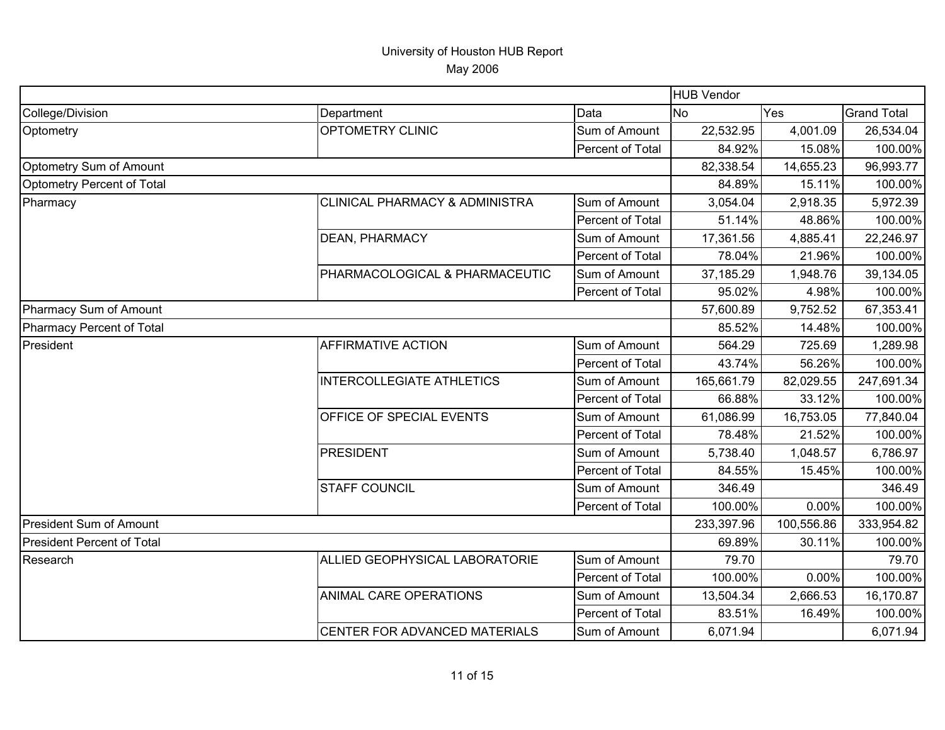|                                   |                                           |                  | <b>HUB Vendor</b> |            |                    |
|-----------------------------------|-------------------------------------------|------------------|-------------------|------------|--------------------|
| College/Division                  | Department                                | Data             | <b>No</b>         | Yes        | <b>Grand Total</b> |
| Optometry                         | OPTOMETRY CLINIC                          | Sum of Amount    | 22,532.95         | 4,001.09   | 26,534.04          |
|                                   |                                           | Percent of Total | 84.92%            | 15.08%     | 100.00%            |
| Optometry Sum of Amount           |                                           |                  | 82,338.54         | 14,655.23  | 96,993.77          |
| Optometry Percent of Total        |                                           |                  | 84.89%            | 15.11%     | 100.00%            |
| Pharmacy                          | <b>CLINICAL PHARMACY &amp; ADMINISTRA</b> | Sum of Amount    | 3,054.04          | 2,918.35   | 5,972.39           |
|                                   |                                           | Percent of Total | 51.14%            | 48.86%     | 100.00%            |
|                                   | <b>DEAN, PHARMACY</b>                     | Sum of Amount    | 17,361.56         | 4,885.41   | 22,246.97          |
|                                   |                                           | Percent of Total | 78.04%            | 21.96%     | 100.00%            |
|                                   | PHARMACOLOGICAL & PHARMACEUTIC            | Sum of Amount    | 37,185.29         | 1,948.76   | 39,134.05          |
|                                   |                                           | Percent of Total | 95.02%            | 4.98%      | 100.00%            |
| Pharmacy Sum of Amount            |                                           |                  | 57,600.89         | 9,752.52   | 67,353.41          |
| Pharmacy Percent of Total         |                                           |                  | 85.52%            | 14.48%     | 100.00%            |
| President                         | <b>AFFIRMATIVE ACTION</b>                 | Sum of Amount    | 564.29            | 725.69     | 1,289.98           |
|                                   |                                           | Percent of Total | 43.74%            | 56.26%     | 100.00%            |
|                                   | <b>INTERCOLLEGIATE ATHLETICS</b>          | Sum of Amount    | 165,661.79        | 82,029.55  | 247,691.34         |
|                                   |                                           | Percent of Total | 66.88%            | 33.12%     | 100.00%            |
|                                   | OFFICE OF SPECIAL EVENTS                  | Sum of Amount    | 61,086.99         | 16,753.05  | 77,840.04          |
|                                   |                                           | Percent of Total | 78.48%            | 21.52%     | 100.00%            |
|                                   | <b>PRESIDENT</b>                          | Sum of Amount    | 5,738.40          | 1,048.57   | 6,786.97           |
|                                   |                                           | Percent of Total | 84.55%            | 15.45%     | 100.00%            |
|                                   | <b>STAFF COUNCIL</b>                      | Sum of Amount    | 346.49            |            | 346.49             |
|                                   |                                           | Percent of Total | 100.00%           | 0.00%      | 100.00%            |
| <b>President Sum of Amount</b>    |                                           |                  | 233,397.96        | 100,556.86 | 333,954.82         |
| <b>President Percent of Total</b> |                                           |                  | 69.89%            | 30.11%     | 100.00%            |
| Research                          | ALLIED GEOPHYSICAL LABORATORIE            | Sum of Amount    | 79.70             |            | 79.70              |
|                                   |                                           | Percent of Total | 100.00%           | 0.00%      | 100.00%            |
|                                   | ANIMAL CARE OPERATIONS                    | Sum of Amount    | 13,504.34         | 2,666.53   | 16,170.87          |
|                                   |                                           | Percent of Total | 83.51%            | 16.49%     | 100.00%            |
|                                   | CENTER FOR ADVANCED MATERIALS             | Sum of Amount    | 6,071.94          |            | 6,071.94           |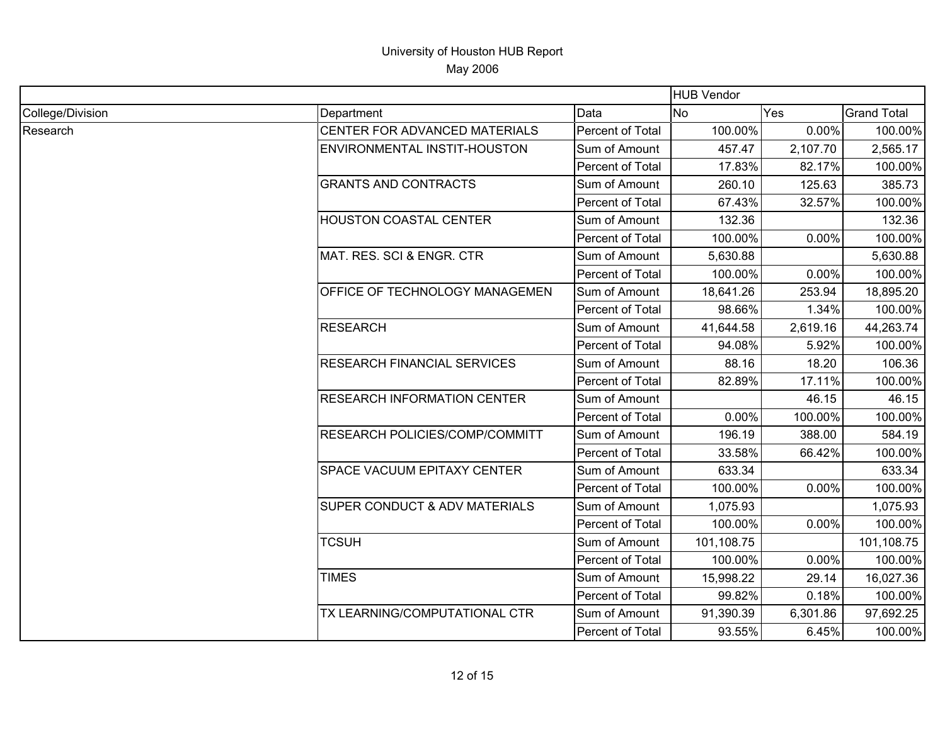|                  |                                          |                  | <b>HUB Vendor</b> |          |                    |
|------------------|------------------------------------------|------------------|-------------------|----------|--------------------|
| College/Division | Department                               | Data             | <b>No</b>         | Yes      | <b>Grand Total</b> |
| Research         | CENTER FOR ADVANCED MATERIALS            | Percent of Total | 100.00%           | 0.00%    | 100.00%            |
|                  | ENVIRONMENTAL INSTIT-HOUSTON             | Sum of Amount    | 457.47            | 2,107.70 | 2,565.17           |
|                  |                                          | Percent of Total | 17.83%            | 82.17%   | 100.00%            |
|                  | <b>GRANTS AND CONTRACTS</b>              | Sum of Amount    | 260.10            | 125.63   | 385.73             |
|                  |                                          | Percent of Total | 67.43%            | 32.57%   | 100.00%            |
|                  | <b>HOUSTON COASTAL CENTER</b>            | Sum of Amount    | 132.36            |          | 132.36             |
|                  |                                          | Percent of Total | 100.00%           | 0.00%    | 100.00%            |
|                  | MAT. RES. SCI & ENGR. CTR                | Sum of Amount    | 5,630.88          |          | 5,630.88           |
|                  |                                          | Percent of Total | 100.00%           | 0.00%    | 100.00%            |
|                  | <b>OFFICE OF TECHNOLOGY MANAGEMEN</b>    | Sum of Amount    | 18,641.26         | 253.94   | 18,895.20          |
|                  |                                          | Percent of Total | 98.66%            | 1.34%    | 100.00%            |
|                  | <b>RESEARCH</b>                          | Sum of Amount    | 41,644.58         | 2,619.16 | 44,263.74          |
|                  |                                          | Percent of Total | 94.08%            | 5.92%    | 100.00%            |
|                  | <b>RESEARCH FINANCIAL SERVICES</b>       | Sum of Amount    | 88.16             | 18.20    | 106.36             |
|                  |                                          | Percent of Total | 82.89%            | 17.11%   | 100.00%            |
|                  | <b>RESEARCH INFORMATION CENTER</b>       | Sum of Amount    |                   | 46.15    | 46.15              |
|                  |                                          | Percent of Total | 0.00%             | 100.00%  | 100.00%            |
|                  | RESEARCH POLICIES/COMP/COMMITT           | Sum of Amount    | 196.19            | 388.00   | 584.19             |
|                  |                                          | Percent of Total | 33.58%            | 66.42%   | 100.00%            |
|                  | SPACE VACUUM EPITAXY CENTER              | Sum of Amount    | 633.34            |          | 633.34             |
|                  |                                          | Percent of Total | 100.00%           | 0.00%    | 100.00%            |
|                  | <b>SUPER CONDUCT &amp; ADV MATERIALS</b> | Sum of Amount    | 1,075.93          |          | 1,075.93           |
|                  |                                          | Percent of Total | 100.00%           | 0.00%    | 100.00%            |
|                  | <b>TCSUH</b>                             | Sum of Amount    | 101,108.75        |          | 101,108.75         |
|                  |                                          | Percent of Total | 100.00%           | 0.00%    | 100.00%            |
|                  | <b>TIMES</b>                             | Sum of Amount    | 15,998.22         | 29.14    | 16,027.36          |
|                  |                                          | Percent of Total | 99.82%            | 0.18%    | 100.00%            |
|                  | TX LEARNING/COMPUTATIONAL CTR            | Sum of Amount    | 91,390.39         | 6,301.86 | 97,692.25          |
|                  |                                          | Percent of Total | 93.55%            | 6.45%    | 100.00%            |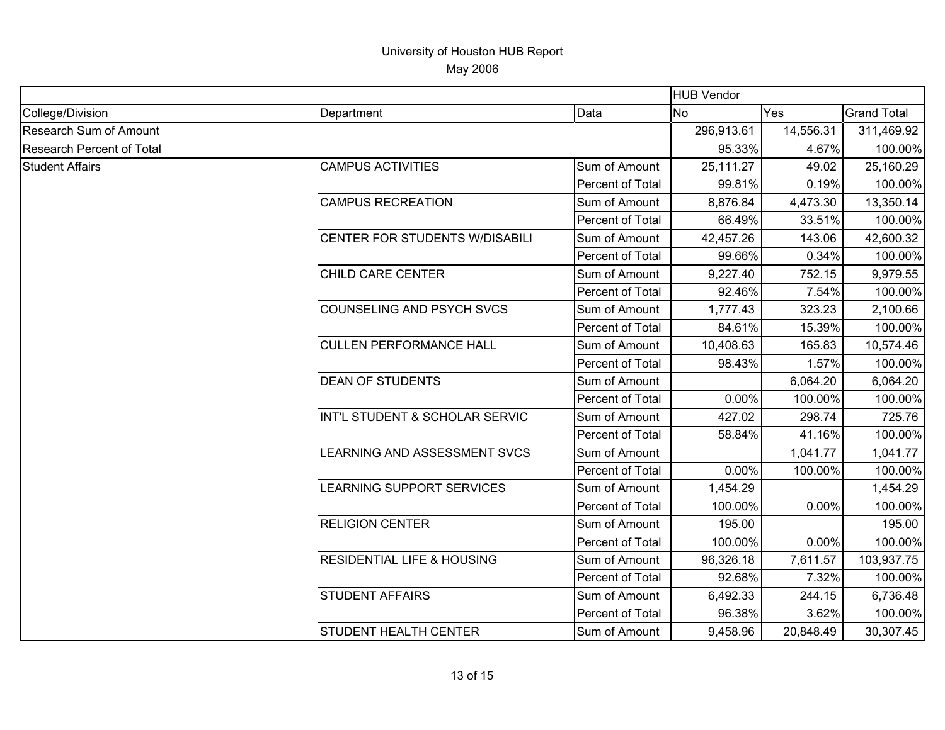|                               |                                       |                  | <b>HUB Vendor</b>       |           |                    |
|-------------------------------|---------------------------------------|------------------|-------------------------|-----------|--------------------|
| College/Division              | Department                            | Data             | <b>Yes</b><br><b>No</b> |           | <b>Grand Total</b> |
| <b>Research Sum of Amount</b> |                                       |                  | 296,913.61              | 14,556.31 | 311,469.92         |
| Research Percent of Total     |                                       | 95.33%           | 4.67%                   | 100.00%   |                    |
| <b>Student Affairs</b>        | <b>CAMPUS ACTIVITIES</b>              | Sum of Amount    | 25,111.27               | 49.02     | 25,160.29          |
|                               |                                       | Percent of Total | 99.81%                  | 0.19%     | 100.00%            |
|                               | <b>CAMPUS RECREATION</b>              | Sum of Amount    | 8,876.84                | 4,473.30  | 13,350.14          |
|                               |                                       | Percent of Total | 66.49%                  | 33.51%    | 100.00%            |
|                               | CENTER FOR STUDENTS W/DISABILI        | Sum of Amount    | 42,457.26               | 143.06    | 42,600.32          |
|                               |                                       | Percent of Total | 99.66%                  | 0.34%     | 100.00%            |
|                               | CHILD CARE CENTER                     | Sum of Amount    | 9,227.40                | 752.15    | 9,979.55           |
|                               |                                       | Percent of Total | 92.46%                  | 7.54%     | 100.00%            |
|                               | COUNSELING AND PSYCH SVCS             | Sum of Amount    | 1,777.43                | 323.23    | 2,100.66           |
|                               |                                       | Percent of Total | 84.61%                  | 15.39%    | 100.00%            |
|                               | <b>CULLEN PERFORMANCE HALL</b>        | Sum of Amount    | 10,408.63               | 165.83    | 10,574.46          |
|                               |                                       | Percent of Total | 98.43%                  | 1.57%     | 100.00%            |
|                               | <b>DEAN OF STUDENTS</b>               | Sum of Amount    |                         | 6,064.20  | 6,064.20           |
|                               |                                       | Percent of Total | 0.00%                   | 100.00%   | 100.00%            |
|                               | INT'L STUDENT & SCHOLAR SERVIC        | Sum of Amount    | 427.02                  | 298.74    | 725.76             |
|                               |                                       | Percent of Total | 58.84%                  | 41.16%    | 100.00%            |
|                               | <b>LEARNING AND ASSESSMENT SVCS</b>   | Sum of Amount    |                         | 1,041.77  | 1,041.77           |
|                               |                                       | Percent of Total | 0.00%                   | 100.00%   | 100.00%            |
|                               | LEARNING SUPPORT SERVICES             | Sum of Amount    | 1,454.29                |           | 1,454.29           |
|                               |                                       | Percent of Total | 100.00%                 | 0.00%     | 100.00%            |
|                               | <b>RELIGION CENTER</b>                | Sum of Amount    | 195.00                  |           | 195.00             |
|                               |                                       | Percent of Total | 100.00%                 | 0.00%     | 100.00%            |
|                               | <b>RESIDENTIAL LIFE &amp; HOUSING</b> | Sum of Amount    | 96,326.18               | 7,611.57  | 103,937.75         |
|                               |                                       | Percent of Total | 92.68%                  | 7.32%     | 100.00%            |
|                               | <b>STUDENT AFFAIRS</b>                | Sum of Amount    | 6,492.33                | 244.15    | 6,736.48           |
|                               |                                       | Percent of Total | 96.38%                  | 3.62%     | 100.00%            |
|                               | STUDENT HEALTH CENTER                 | Sum of Amount    | 9,458.96                | 20,848.49 | 30,307.45          |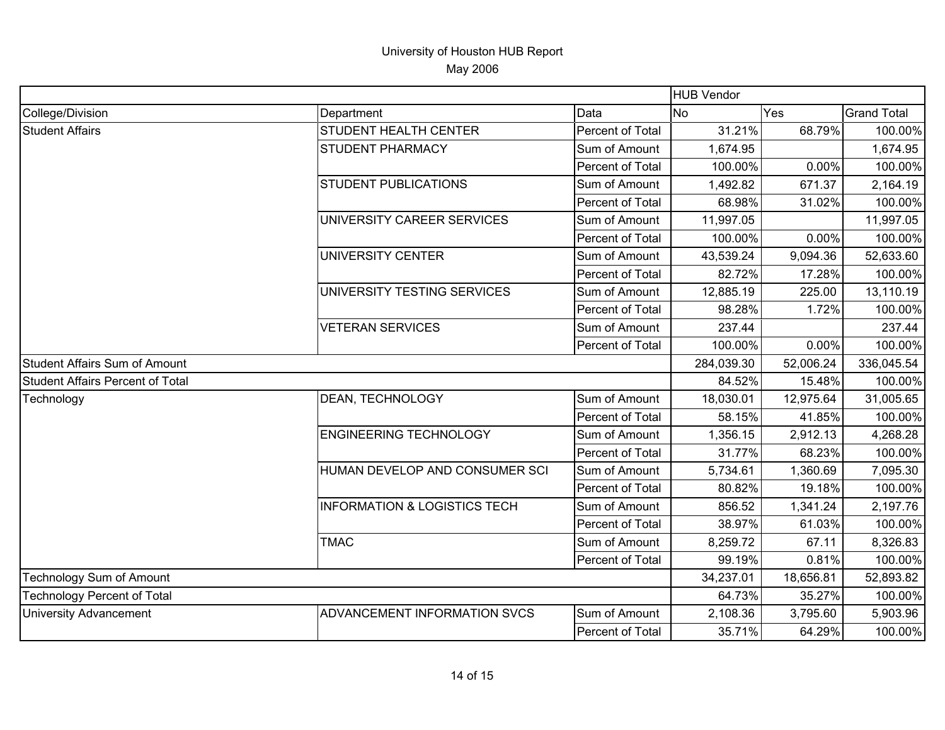|                                         |                                         |                  | <b>HUB Vendor</b> |           |                    |
|-----------------------------------------|-----------------------------------------|------------------|-------------------|-----------|--------------------|
| College/Division                        | Department                              | Data             | <b>No</b>         | Yes       | <b>Grand Total</b> |
| <b>Student Affairs</b>                  | <b>STUDENT HEALTH CENTER</b>            | Percent of Total | 31.21%            | 68.79%    | 100.00%            |
|                                         | <b>STUDENT PHARMACY</b>                 | Sum of Amount    | 1,674.95          |           | 1,674.95           |
|                                         |                                         | Percent of Total | 100.00%           | 0.00%     | 100.00%            |
|                                         | <b>STUDENT PUBLICATIONS</b>             | Sum of Amount    | 1,492.82          | 671.37    | 2,164.19           |
|                                         |                                         | Percent of Total | 68.98%            | 31.02%    | 100.00%            |
|                                         | UNIVERSITY CAREER SERVICES              | Sum of Amount    | 11,997.05         |           | 11,997.05          |
|                                         |                                         | Percent of Total | 100.00%           | 0.00%     | 100.00%            |
|                                         | UNIVERSITY CENTER                       | Sum of Amount    | 43,539.24         | 9,094.36  | 52,633.60          |
|                                         |                                         | Percent of Total | 82.72%            | 17.28%    | 100.00%            |
|                                         | UNIVERSITY TESTING SERVICES             | Sum of Amount    | 12,885.19         | 225.00    | 13,110.19          |
|                                         |                                         | Percent of Total | 98.28%            | 1.72%     | 100.00%            |
|                                         | <b>VETERAN SERVICES</b>                 | Sum of Amount    | 237.44            |           | 237.44             |
|                                         |                                         | Percent of Total | 100.00%           | 0.00%     | 100.00%            |
| <b>Student Affairs Sum of Amount</b>    |                                         |                  | 284,039.30        | 52,006.24 | 336,045.54         |
| <b>Student Affairs Percent of Total</b> |                                         |                  | 84.52%            | 15.48%    | 100.00%            |
| Technology                              | DEAN, TECHNOLOGY                        | Sum of Amount    | 18,030.01         | 12,975.64 | 31,005.65          |
|                                         |                                         | Percent of Total | 58.15%            | 41.85%    | 100.00%            |
|                                         | <b>ENGINEERING TECHNOLOGY</b>           | Sum of Amount    | 1,356.15          | 2,912.13  | 4,268.28           |
|                                         |                                         | Percent of Total | 31.77%            | 68.23%    | 100.00%            |
|                                         | HUMAN DEVELOP AND CONSUMER SCI          | Sum of Amount    | 5,734.61          | 1,360.69  | 7,095.30           |
|                                         |                                         | Percent of Total | 80.82%            | 19.18%    | 100.00%            |
|                                         | <b>INFORMATION &amp; LOGISTICS TECH</b> | Sum of Amount    | 856.52            | 1,341.24  | 2,197.76           |
|                                         |                                         | Percent of Total | 38.97%            | 61.03%    | 100.00%            |
|                                         | <b>TMAC</b>                             | Sum of Amount    | 8,259.72          | 67.11     | 8,326.83           |
|                                         |                                         | Percent of Total | 99.19%            | 0.81%     | 100.00%            |
| Technology Sum of Amount                |                                         | 34,237.01        | 18,656.81         | 52,893.82 |                    |
| <b>Technology Percent of Total</b>      |                                         |                  | 64.73%            | 35.27%    | 100.00%            |
| <b>University Advancement</b>           | ADVANCEMENT INFORMATION SVCS            | Sum of Amount    | 2,108.36          | 3,795.60  | 5,903.96           |
|                                         |                                         | Percent of Total | 35.71%            | 64.29%    | 100.00%            |